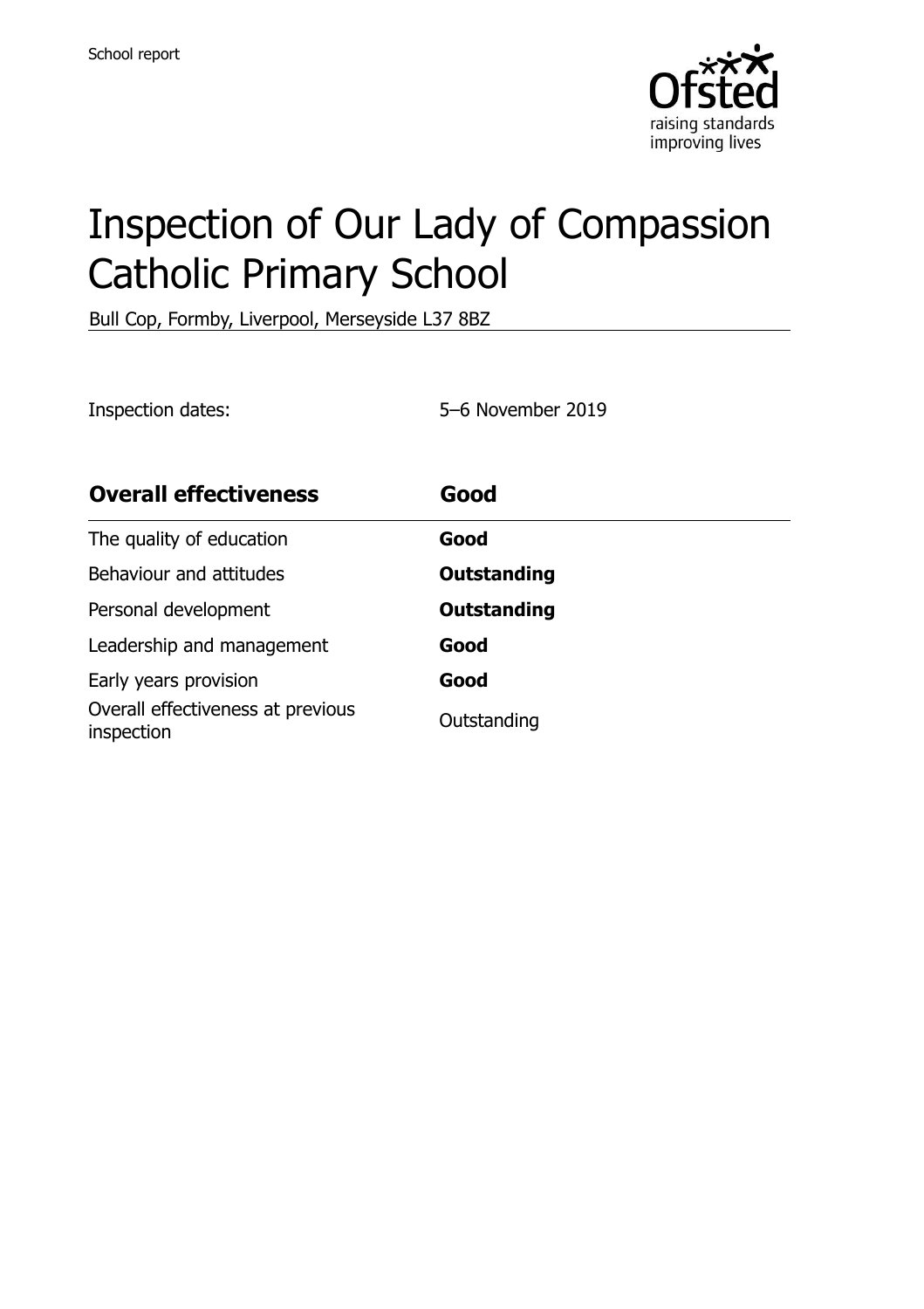

# Inspection of Our Lady of Compassion Catholic Primary School

Bull Cop, Formby, Liverpool, Merseyside L37 8BZ

Inspection dates: 5–6 November 2019

| <b>Overall effectiveness</b>                    | Good               |
|-------------------------------------------------|--------------------|
| The quality of education                        | Good               |
| Behaviour and attitudes                         | <b>Outstanding</b> |
| Personal development                            | <b>Outstanding</b> |
| Leadership and management                       | Good               |
| Early years provision                           | Good               |
| Overall effectiveness at previous<br>inspection | Outstanding        |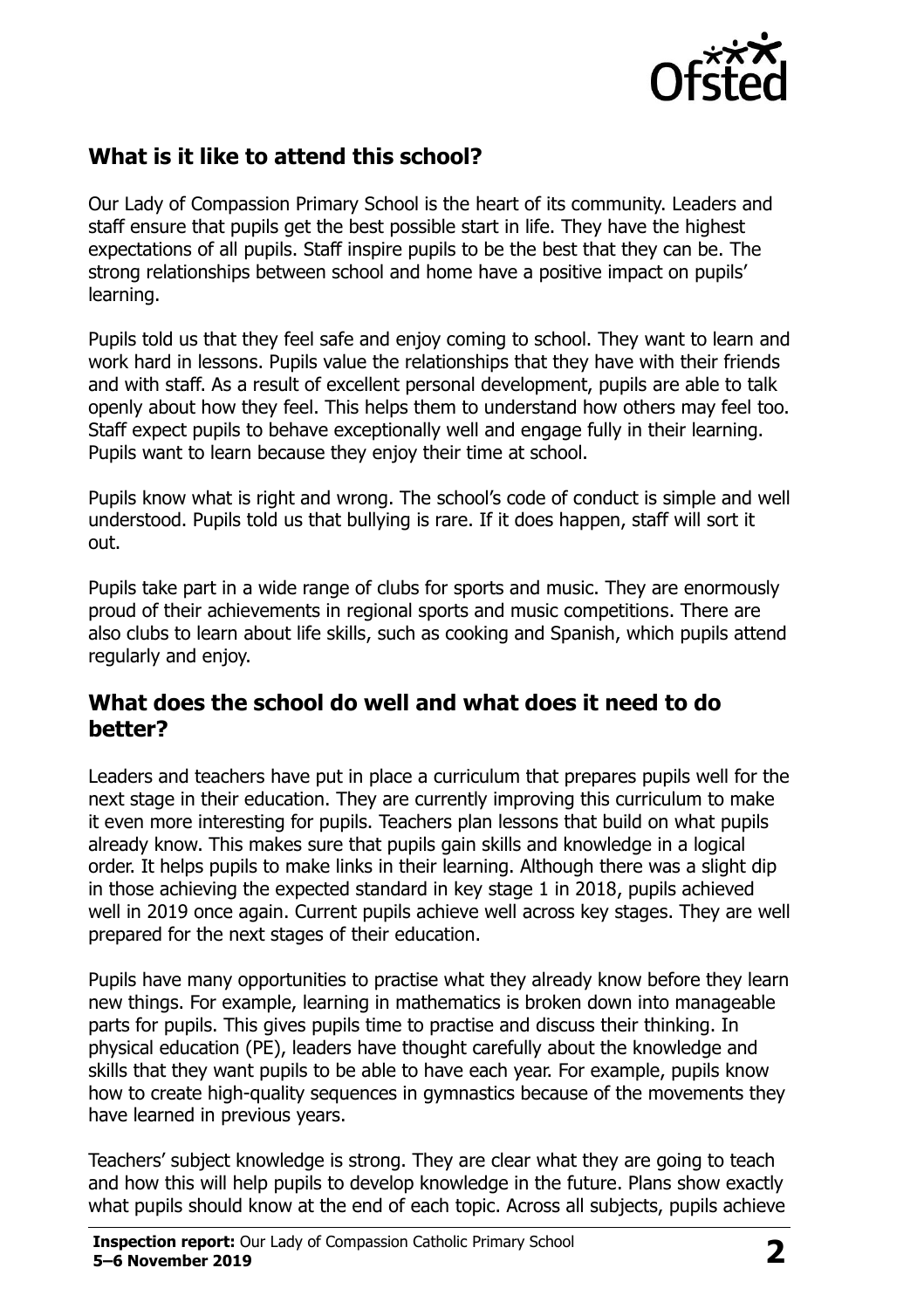

# **What is it like to attend this school?**

Our Lady of Compassion Primary School is the heart of its community. Leaders and staff ensure that pupils get the best possible start in life. They have the highest expectations of all pupils. Staff inspire pupils to be the best that they can be. The strong relationships between school and home have a positive impact on pupils' learning.

Pupils told us that they feel safe and enjoy coming to school. They want to learn and work hard in lessons. Pupils value the relationships that they have with their friends and with staff. As a result of excellent personal development, pupils are able to talk openly about how they feel. This helps them to understand how others may feel too. Staff expect pupils to behave exceptionally well and engage fully in their learning. Pupils want to learn because they enjoy their time at school.

Pupils know what is right and wrong. The school's code of conduct is simple and well understood. Pupils told us that bullying is rare. If it does happen, staff will sort it out.

Pupils take part in a wide range of clubs for sports and music. They are enormously proud of their achievements in regional sports and music competitions. There are also clubs to learn about life skills, such as cooking and Spanish, which pupils attend regularly and enjoy.

#### **What does the school do well and what does it need to do better?**

Leaders and teachers have put in place a curriculum that prepares pupils well for the next stage in their education. They are currently improving this curriculum to make it even more interesting for pupils. Teachers plan lessons that build on what pupils already know. This makes sure that pupils gain skills and knowledge in a logical order. It helps pupils to make links in their learning. Although there was a slight dip in those achieving the expected standard in key stage 1 in 2018, pupils achieved well in 2019 once again. Current pupils achieve well across key stages. They are well prepared for the next stages of their education.

Pupils have many opportunities to practise what they already know before they learn new things. For example, learning in mathematics is broken down into manageable parts for pupils. This gives pupils time to practise and discuss their thinking. In physical education (PE), leaders have thought carefully about the knowledge and skills that they want pupils to be able to have each year. For example, pupils know how to create high-quality sequences in gymnastics because of the movements they have learned in previous years.

Teachers' subject knowledge is strong. They are clear what they are going to teach and how this will help pupils to develop knowledge in the future. Plans show exactly what pupils should know at the end of each topic. Across all subjects, pupils achieve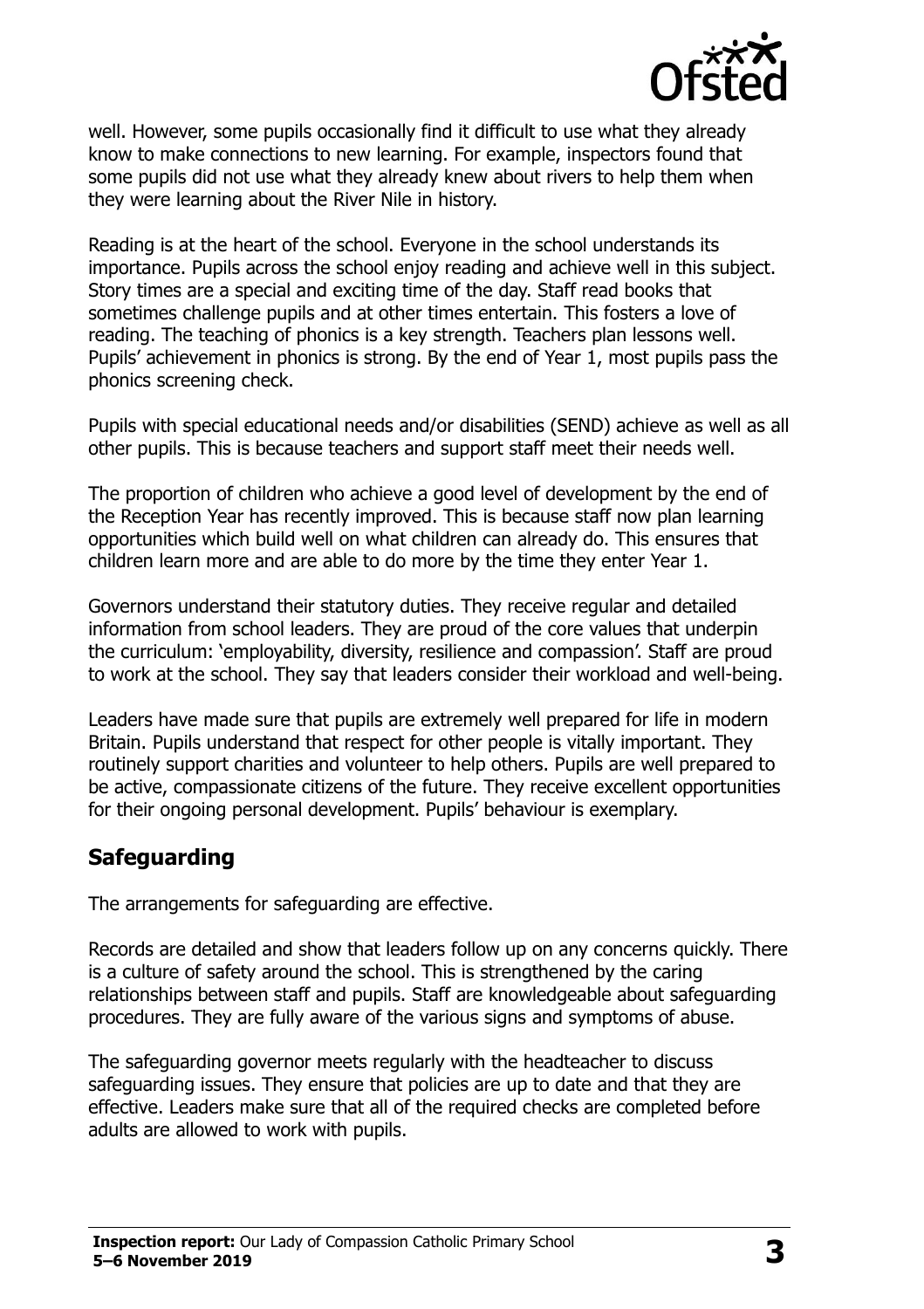

well. However, some pupils occasionally find it difficult to use what they already know to make connections to new learning. For example, inspectors found that some pupils did not use what they already knew about rivers to help them when they were learning about the River Nile in history.

Reading is at the heart of the school. Everyone in the school understands its importance. Pupils across the school enjoy reading and achieve well in this subject. Story times are a special and exciting time of the day. Staff read books that sometimes challenge pupils and at other times entertain. This fosters a love of reading. The teaching of phonics is a key strength. Teachers plan lessons well. Pupils' achievement in phonics is strong. By the end of Year 1, most pupils pass the phonics screening check.

Pupils with special educational needs and/or disabilities (SEND) achieve as well as all other pupils. This is because teachers and support staff meet their needs well.

The proportion of children who achieve a good level of development by the end of the Reception Year has recently improved. This is because staff now plan learning opportunities which build well on what children can already do. This ensures that children learn more and are able to do more by the time they enter Year 1.

Governors understand their statutory duties. They receive regular and detailed information from school leaders. They are proud of the core values that underpin the curriculum: 'employability, diversity, resilience and compassion'. Staff are proud to work at the school. They say that leaders consider their workload and well-being.

Leaders have made sure that pupils are extremely well prepared for life in modern Britain. Pupils understand that respect for other people is vitally important. They routinely support charities and volunteer to help others. Pupils are well prepared to be active, compassionate citizens of the future. They receive excellent opportunities for their ongoing personal development. Pupils' behaviour is exemplary.

### **Safeguarding**

The arrangements for safeguarding are effective.

Records are detailed and show that leaders follow up on any concerns quickly. There is a culture of safety around the school. This is strengthened by the caring relationships between staff and pupils. Staff are knowledgeable about safeguarding procedures. They are fully aware of the various signs and symptoms of abuse.

The safeguarding governor meets regularly with the headteacher to discuss safeguarding issues. They ensure that policies are up to date and that they are effective. Leaders make sure that all of the required checks are completed before adults are allowed to work with pupils.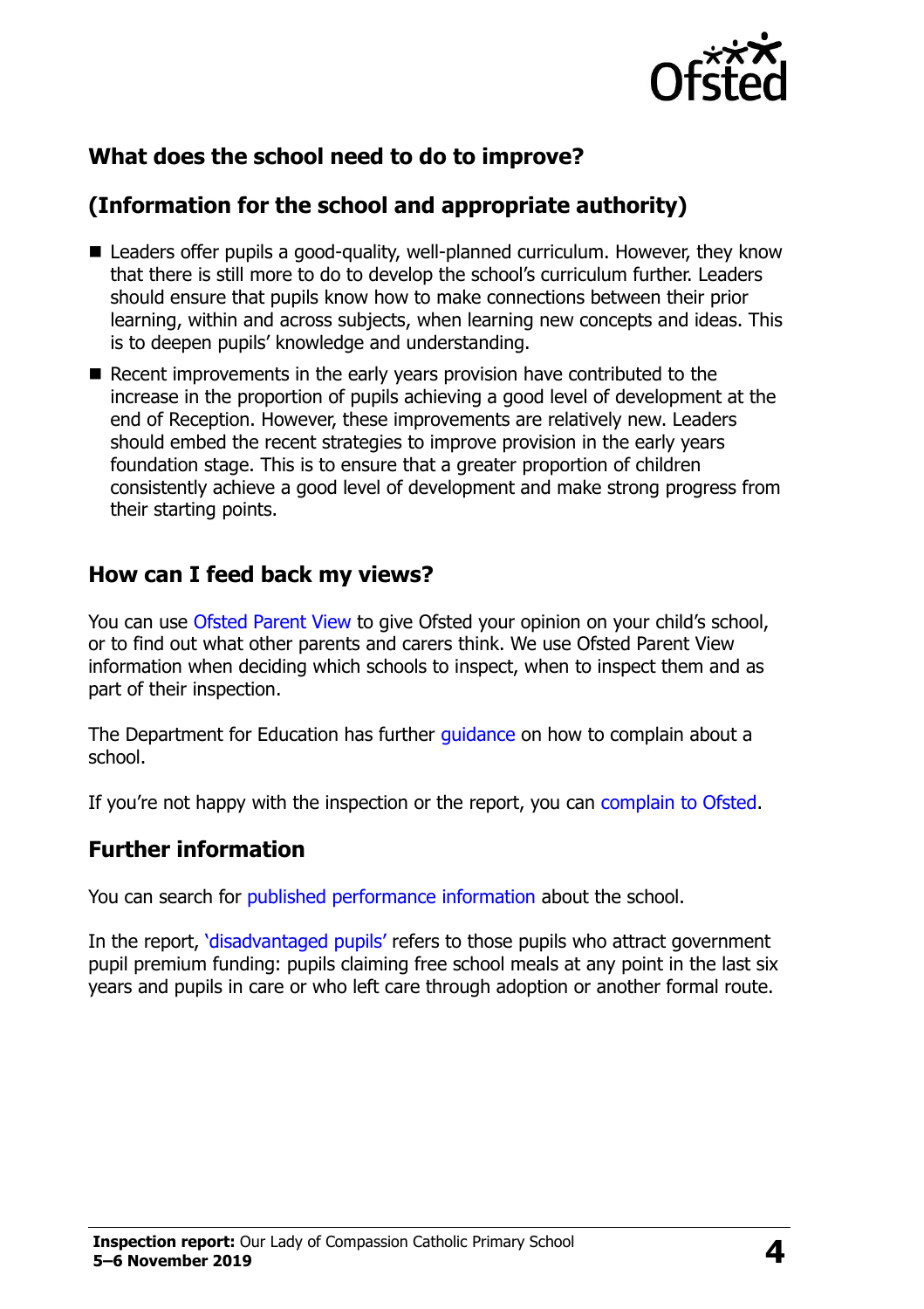

# **What does the school need to do to improve?**

# **(Information for the school and appropriate authority)**

- Leaders offer pupils a good-quality, well-planned curriculum. However, they know that there is still more to do to develop the school's curriculum further. Leaders should ensure that pupils know how to make connections between their prior learning, within and across subjects, when learning new concepts and ideas. This is to deepen pupils' knowledge and understanding.
- Recent improvements in the early years provision have contributed to the increase in the proportion of pupils achieving a good level of development at the end of Reception. However, these improvements are relatively new. Leaders should embed the recent strategies to improve provision in the early years foundation stage. This is to ensure that a greater proportion of children consistently achieve a good level of development and make strong progress from their starting points.

### **How can I feed back my views?**

You can use [Ofsted Parent View](http://parentview.ofsted.gov.uk/) to give Ofsted your opinion on your child's school, or to find out what other parents and carers think. We use Ofsted Parent View information when deciding which schools to inspect, when to inspect them and as part of their inspection.

The Department for Education has further quidance on how to complain about a school.

If you're not happy with the inspection or the report, you can [complain to Ofsted.](http://www.gov.uk/complain-ofsted-report)

#### **Further information**

You can search for [published performance information](http://www.compare-school-performance.service.gov.uk/) about the school.

In the report, '[disadvantaged pupils](http://www.gov.uk/guidance/pupil-premium-information-for-schools-and-alternative-provision-settings)' refers to those pupils who attract government pupil premium funding: pupils claiming free school meals at any point in the last six years and pupils in care or who left care through adoption or another formal route.

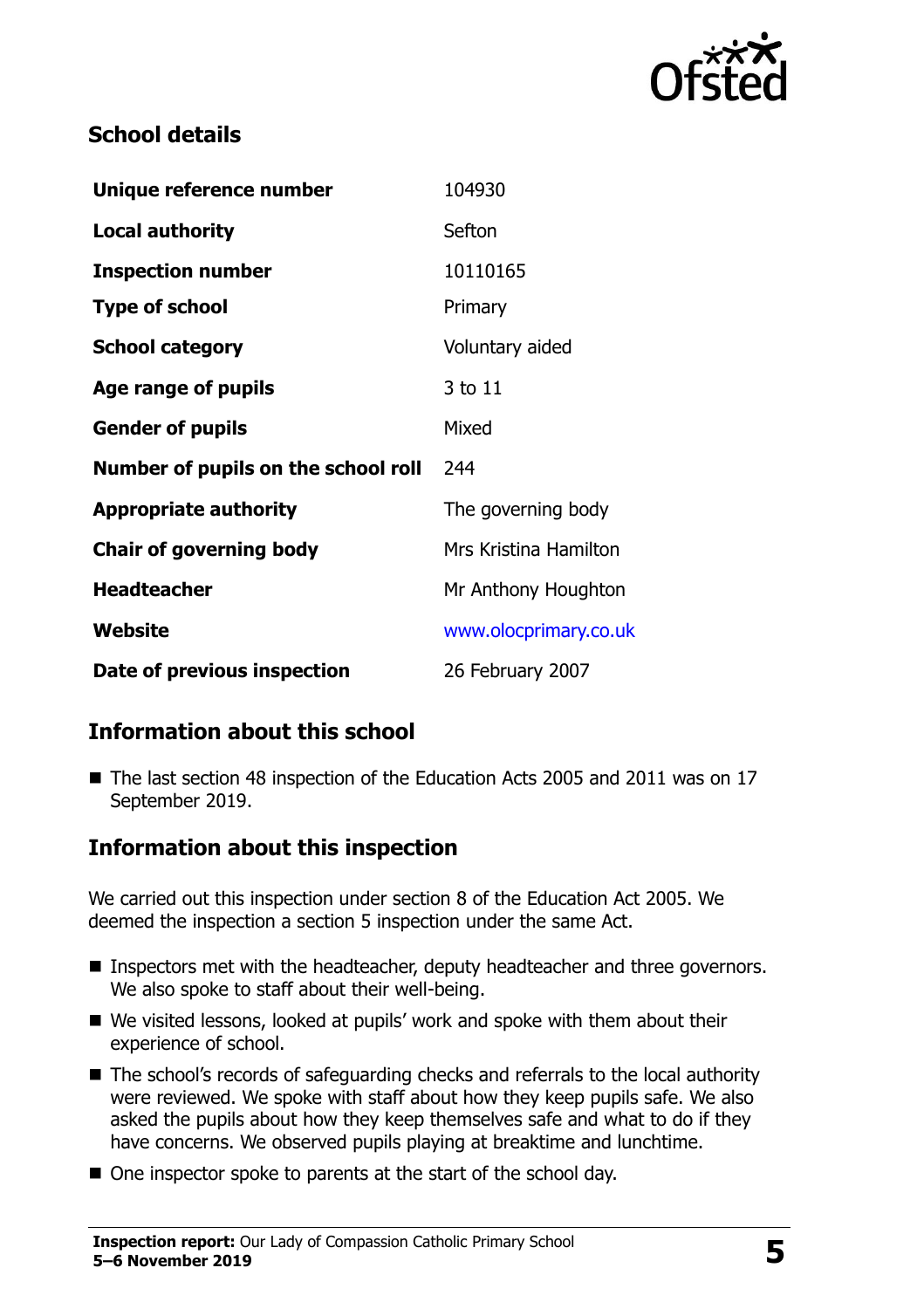

# **School details**

| Unique reference number             | 104930                |
|-------------------------------------|-----------------------|
| <b>Local authority</b>              | Sefton                |
| <b>Inspection number</b>            | 10110165              |
| <b>Type of school</b>               | Primary               |
| <b>School category</b>              | Voluntary aided       |
| Age range of pupils                 | 3 to 11               |
| <b>Gender of pupils</b>             | Mixed                 |
| Number of pupils on the school roll | 244                   |
| <b>Appropriate authority</b>        | The governing body    |
| <b>Chair of governing body</b>      | Mrs Kristina Hamilton |
| <b>Headteacher</b>                  | Mr Anthony Houghton   |
| Website                             | www.olocprimary.co.uk |
| Date of previous inspection         | 26 February 2007      |

# **Information about this school**

■ The last section 48 inspection of the Education Acts 2005 and 2011 was on 17 September 2019.

### **Information about this inspection**

We carried out this inspection under section 8 of the Education Act 2005. We deemed the inspection a section 5 inspection under the same Act.

- Inspectors met with the headteacher, deputy headteacher and three governors. We also spoke to staff about their well-being.
- We visited lessons, looked at pupils' work and spoke with them about their experience of school.
- The school's records of safeguarding checks and referrals to the local authority were reviewed. We spoke with staff about how they keep pupils safe. We also asked the pupils about how they keep themselves safe and what to do if they have concerns. We observed pupils playing at breaktime and lunchtime.
- One inspector spoke to parents at the start of the school day.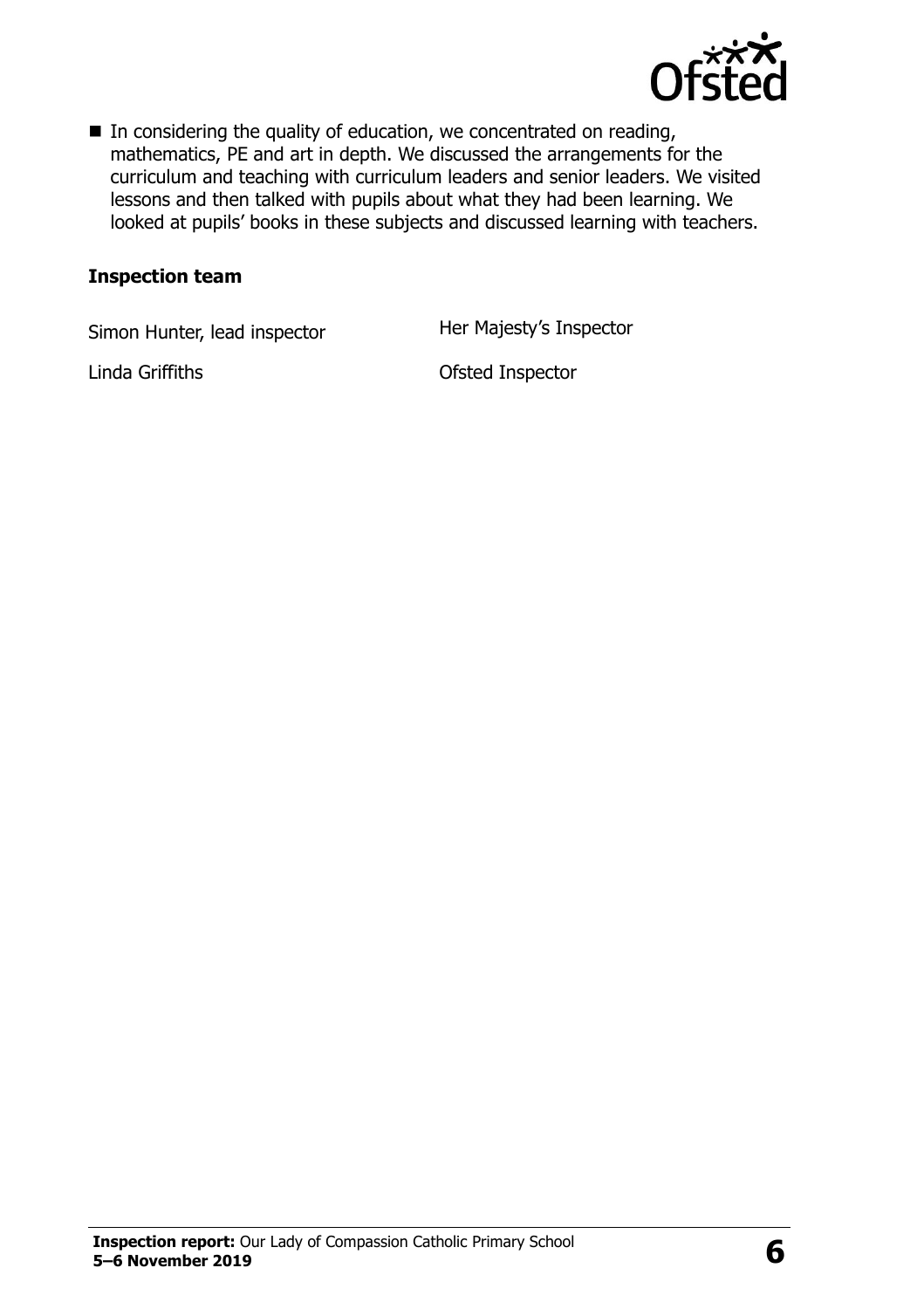

 $\blacksquare$  In considering the quality of education, we concentrated on reading, mathematics, PE and art in depth. We discussed the arrangements for the curriculum and teaching with curriculum leaders and senior leaders. We visited lessons and then talked with pupils about what they had been learning. We looked at pupils' books in these subjects and discussed learning with teachers.

#### **Inspection team**

Simon Hunter, lead inspector **Her Majesty's Inspector** 

Linda Griffiths **Contact Contact Contact Contact Contact Contact Contact Contact Contact Contact Contact Contact Contact Contact Contact Contact Contact Contact Contact Contact Contact Contact Contact Contact Contact Conta**